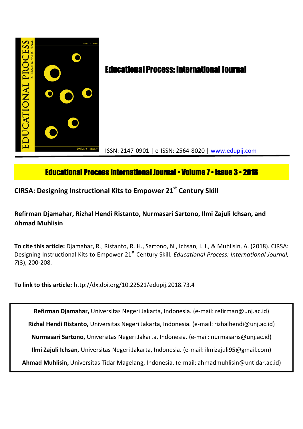

# **Educational Process International Journal • Volume 7 • Issue 3 • 2018**

**CIRSA: Designing Instructional Kits to Empower 21st Century Skill**

# **Refirman Djamahar, Rizhal Hendi Ristanto, Nurmasari Sartono, Ilmi Zajuli Ichsan, and Ahmad Muhlisin**

**To cite this article:** Djamahar, R., Ristanto, R. H., Sartono, N., Ichsan, I. J., & Muhlisin, A. (2018). CIRSA: Designing Instructional Kits to Empower 21<sup>st</sup> Century Skill. *Educational Process: International Journal*, *7*(3), 200-208.

## **To link to this article:** http://dx.doi.org/10.22521/edupij.2018.73.4

**Refirman Djamahar,** Universitas Negeri Jakarta, Indonesia. (e-mail: refirman@unj.ac.id) **Rizhal Hendi Ristanto,** Universitas Negeri Jakarta, Indonesia. (e-mail: rizhalhendi@unj.ac.id) **Nurmasari Sartono,** Universitas Negeri Jakarta, Indonesia. (e-mail: nurmasaris@unj.ac.id) **Ilmi Zajuli Ichsan,** Universitas Negeri Jakarta, Indonesia. (e-mail: ilmizajuli95@gmail.com) **Ahmad Muhlisin,** Universitas Tidar Magelang, Indonesia. (e-mail: ahmadmuhlisin@untidar.ac.id)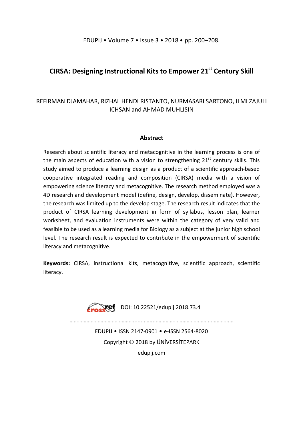## **CIRSA: Designing Instructional Kits to Empower 21st Century Skill**

## REFIRMAN DJAMAHAR, RIZHAL HENDI RISTANTO, NURMASARI SARTONO, ILMI ZAJULI ICHSAN and AHMAD MUHLISIN

### **Abstract**

Research about scientific literacy and metacognitive in the learning process is one of the main aspects of education with a vision to strengthening  $21<sup>st</sup>$  century skills. This study aimed to produce a learning design as a product of a scientific approach-based cooperative integrated reading and composition (CIRSA) media with a vision of empowering science literacy and metacognitive. The research method employed was a 4D research and development model (define, design, develop, disseminate). However, the research was limited up to the develop stage. The research result indicates that the product of CIRSA learning development in form of syllabus, lesson plan, learner worksheet, and evaluation instruments were within the category of very valid and feasible to be used as a learning media for Biology as a subject at the junior high school level. The research result is expected to contribute in the empowerment of scientific literacy and metacognitive.

**Keywords:** CIRSA, instructional kits, metacognitive, scientific approach, scientific literacy.



………………………………………........….....………………………………...……………

EDUPIJ • ISSN 2147-0901 • e-ISSN 2564-8020 Copyright © 2018 by ÜNİVERSİTEPARK edupij.com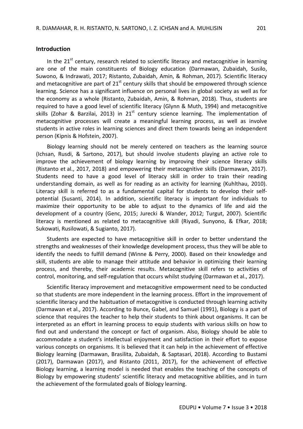#### **Introduction**

In the  $21<sup>st</sup>$  century, research related to scientific literacy and metacognitive in learning are one of the main constituents of Biology education (Darmawan, Zubaidah, Susilo, Suwono, & Indrawati, 2017; Ristanto, Zubaidah, Amin, & Rohman, 2017). Scientific literacy and metacognitive are part of  $21<sup>st</sup>$  century skills that should be empowered through science learning. Science has a significant influence on personal lives in global society as well as for the economy as a whole (Ristanto, Zubaidah, Amin, & Rohman, 2018). Thus, students are required to have a good level of scientific literacy (Glynn & Muth, 1994) and metacognitive skills (Zohar & Barzilai, 2013) in  $21<sup>st</sup>$  century science learning. The implementation of metacognitive processes will create a meaningful learning process, as well as involve students in active roles in learning sciences and direct them towards being an independent person (Kipnis & Hofstein, 2007).

Biology learning should not be merely centered on teachers as the learning source (Ichsan, Rusdi, & Sartono, 2017), but should involve students playing an active role to improve the achievement of biology learning by improving their science literacy skills (Ristanto et al., 2017, 2018) and empowering their metacognitive skills (Darmawan, 2017). Students need to have a good level of literacy skill in order to train their reading understanding domain, as well as for reading as an activity for learning (Kuhlthau, 2010). Literacy skill is referred to as a fundamental capital for students to develop their selfpotential (Susanti, 2014). In addition, scientific literacy is important for individuals to maximize their opportunity to be able to adjust to the dynamics of life and aid the development of a country (Genc, 2015; Jurecki & Wander, 2012; Turgut, 2007). Scientific literacy is mentioned as related to metacognitive skill (Riyadi, Sunyono, & Efkar, 2018; Sukowati, Rusilowati, & Sugianto, 2017).

Students are expected to have metacognitive skill in order to better understand the strengths and weaknesses of their knowledge development process, thus they will be able to identify the needs to fulfill demand (Winne & Perry, 2000). Based on their knowledge and skill, students are able to manage their attitude and behavior in optimizing their learning process, and thereby, their academic results. Metacognitive skill refers to activities of control, monitoring, and self-regulation that occurs whilst studying (Darmawan et al., 2017).

Scientific literacy improvement and metacognitive empowerment need to be conducted so that students are more independent in the learning process. Effort in the improvement of scientific literacy and the habituation of metacognitive is conducted through learning activity (Darmawan et al., 2017). According to Bunce, Gabel, and Samuel (1991), Biology is a part of science that requires the teacher to help their students to think about organisms. It can be interpreted as an effort in learning process to equip students with various skills on how to find out and understand the concept or fact of organism. Also, Biology should be able to accommodate a student's intellectual enjoyment and satisfaction in their effort to expose various concepts on organisms. It is believed that it can help in the achievement of effective Biology learning (Darmawan, Brasilita, Zubaidah, & Saptasari, 2018). According to Bustami (2017), Darmawan (2017), and Ristanto (2011, 2017), for the achievement of effective Biology learning, a learning model is needed that enables the teaching of the concepts of Biology by empowering students' scientific literacy and metacognitive abilities, and in turn the achievement of the formulated goals of Biology learning.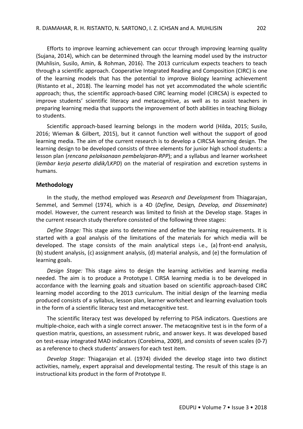Efforts to improve learning achievement can occur through improving learning quality (Sujana, 2014), which can be determined through the learning model used by the instructor (Muhlisin, Susilo, Amin, & Rohman, 2016). The 2013 curriculum expects teachers to teach through a scientific approach. Cooperative Integrated Reading and Composition (CIRC) is one of the learning models that has the potential to improve Biology learning achievement (Ristanto et al., 2018). The learning model has not yet accommodated the whole scientific approach; thus, the scientific approach-based CIRC learning model (CIRCSA) is expected to improve students' scientific literacy and metacognitive, as well as to assist teachers in preparing learning media that supports the improvement of both abilities in teaching Biology to students.

Scientific approach-based learning belongs in the modern world (Hilda, 2015; Susilo, 2016; Wieman & Gilbert, 2015), but it cannot function well without the support of good learning media. The aim of the current research is to develop a CIRCSA learning design. The learning design to be developed consists of three elements for junior high school students: a lesson plan (*rencana pelaksanaan pembelajaran-RPP*); and a syllabus and learner worksheet (*lembar kerja peserta didik/LKPD*) on the material of respiration and excretion systems in humans.

#### **Methodology**

In the study, the method employed was *Research and Development* from Thiagarajan, Semmel, and Semmel (1974), which is a 4D (*Define,* Design*, Develop, and Disseminate*) model. However, the current research was limited to finish at the Develop stage. Stages in the current research study therefore consisted of the following three stages:

*Define Stage:* This stage aims to determine and define the learning requirements. It is started with a goal analysis of the limitations of the materials for which media will be developed. The stage consists of the main analytical steps i.e., (a) front-end analysis, (b) student analysis, (c) assignment analysis, (d) material analysis, and (e) the formulation of learning goals.

*Design Stage:* This stage aims to design the learning activities and learning media needed. The aim is to produce a Prototype I. CIRSA learning media is to be developed in accordance with the learning goals and situation based on scientific approach-based CIRC learning model according to the 2013 curriculum. The initial design of the learning media produced consists of a syllabus, lesson plan, learner worksheet and learning evaluation tools in the form of a scientific literacy test and metacognitive test.

The scientific literacy test was developed by referring to PISA indicators. Questions are multiple-choice, each with a single correct answer. The metacognitive test is in the form of a question matrix, questions, an assessment rubric, and answer keys. It was developed based on test-essay integrated MAD indicators (Corebima, 2009), and consists of seven scales (0-7) as a reference to check students' answers for each test item.

*Develop Stage:* Thiagarajan et al. (1974) divided the develop stage into two distinct activities, namely, expert appraisal and developmental testing. The result of this stage is an instructional kits product in the form of Prototype II.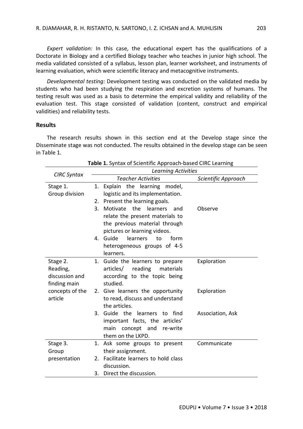*Expert validation:* In this case, the educational expert has the qualifications of a Doctorate in Biology and a certified Biology teacher who teaches in junior high school. The media validated consisted of a syllabus, lesson plan, learner worksheet, and instruments of learning evaluation, which were scientific literacy and metacognitive instruments.

*Developmental testing:* Development testing was conducted on the validated media by students who had been studying the respiration and excretion systems of humans. The testing result was used as a basis to determine the empirical validity and reliability of the evaluation test. This stage consisted of validation (content, construct and empirical validities) and reliability tests.

#### **Results**

The research results shown in this section end at the Develop stage since the Disseminate stage was not conducted. The results obtained in the develop stage can be seen in Table 1.

| CIRC Syntax     |              | <b>Learning Activities</b>         |                     |  |  |
|-----------------|--------------|------------------------------------|---------------------|--|--|
|                 |              | <b>Teacher Activities</b>          | Scientific Approach |  |  |
| Stage 1.        | 1.           | Explain the learning<br>model,     |                     |  |  |
| Group division  |              | logistic and its implementation.   |                     |  |  |
|                 | 2.           | Present the learning goals.        |                     |  |  |
|                 | 3.           | Motivate<br>the<br>learners<br>and | Observe             |  |  |
|                 |              | relate the present materials to    |                     |  |  |
|                 |              | the previous material through      |                     |  |  |
|                 |              | pictures or learning videos.       |                     |  |  |
|                 | $\mathbf{4}$ | Guide<br>learners<br>to<br>form    |                     |  |  |
|                 |              | heterogeneous groups of 4-5        |                     |  |  |
|                 |              | learners.                          |                     |  |  |
| Stage 2.        | 1.           | Guide the learners to prepare      | Exploration         |  |  |
| Reading,        |              | reading<br>articles/<br>materials  |                     |  |  |
| discussion and  |              | according to the topic being       |                     |  |  |
|                 |              | studied.                           |                     |  |  |
| finding main    |              |                                    |                     |  |  |
| concepts of the | 2.           | Give learners the opportunity      | Exploration         |  |  |
| article         |              | to read, discuss and understand    |                     |  |  |
|                 |              | the articles.                      |                     |  |  |
|                 | 3.           | Guide the learners<br>find<br>to   | Association, Ask    |  |  |
|                 |              | important facts, the articles'     |                     |  |  |
|                 |              | main concept and re-write          |                     |  |  |
|                 |              | them on the LKPD.                  |                     |  |  |
| Stage 3.        | 1.           | Ask some groups to present         | Communicate         |  |  |
| Group           |              | their assignment.                  |                     |  |  |
| presentation    | 2.           | Facilitate learners to hold class  |                     |  |  |
|                 |              | discussion.                        |                     |  |  |
|                 | 3.           | Direct the discussion.             |                     |  |  |

|  |  | Table 1. Syntax of Scientific Approach-based CIRC Learning |  |
|--|--|------------------------------------------------------------|--|
|--|--|------------------------------------------------------------|--|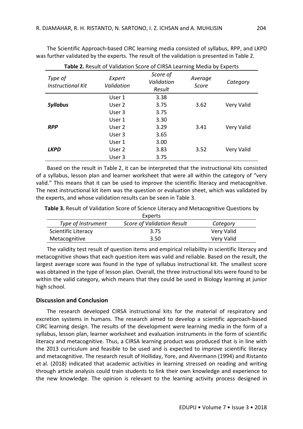The Scientific Approach-based CIRC learning media consisted of syllabus, RPP, and LKPD was further validated by the experts. The result of the validation is presented in Table 2.

| <b>TWIC E</b> HOSUIT OF VANUATION SCOTE OF CHISH ECUTINIII <sub>N</sub> IVICUIU DY EXPOTTS |                      |                                  |                  |            |
|--------------------------------------------------------------------------------------------|----------------------|----------------------------------|------------------|------------|
| Type of<br><b>Instructional Kit</b>                                                        | Expert<br>Validation | Score of<br>Validation<br>Result | Average<br>Score | Category   |
|                                                                                            | User 1               | 3.38                             |                  |            |
| <b>Syllabus</b>                                                                            | User 2               | 3.75                             | 3.62             | Very Valid |
|                                                                                            | User 3               | 3.75                             |                  |            |
|                                                                                            | User 1               | 3.30                             |                  |            |
| <b>RPP</b>                                                                                 | User 2               | 3.29                             | 3.41             | Very Valid |
|                                                                                            | User 3               | 3.65                             |                  |            |
|                                                                                            | User 1               | 3.00                             |                  |            |
| <b>LKPD</b>                                                                                | User 2               | 3.83                             | 3.52             | Very Valid |
|                                                                                            | User 3               | 3.75                             |                  |            |

**Table 2.** Result of Validation Score of CIRSA Learning Media by Experts

Based on the result in Table 2, it can be interpreted that the instructional kits consisted of a syllabus, lesson plan and learner worksheet that were all within the category of "very valid." This means that it can be used to improve the scientific literacy and metacognitive. The next instructional kit item was the question or evaluation sheet, which was validated by the experts, and whose validation results can be seen in Table 3.

**Table 3.** Result of Validation Score of Science Literacy and Metacognitive Questions by

| Experts             |                                   |            |  |  |  |  |
|---------------------|-----------------------------------|------------|--|--|--|--|
| Type of Instrument  | <b>Score of Validation Result</b> | Category   |  |  |  |  |
| Scientific Literacy | 3.75                              | Very Valid |  |  |  |  |
| Metacognitive       | 3.50                              | Very Valid |  |  |  |  |

The validity test result of question items and empirical reliability in scientific literacy and metacognitive shows that each question item was valid and reliable. Based on the result, the largest average score was found in the type of syllabus instructional kit. The smallest score was obtained in the type of lesson plan. Overall, the three instructional kits were found to be within the valid category, which means that they could be used in Biology learning at junior high school.

### **Discussion and Conclusion**

The research developed CIRSA instructional kits for the material of respiratory and excretion systems in humans. The research aimed to develop a scientific approach-based CIRC learning design. The results of the development were learning media in the form of a syllabus, lesson plan, learner worksheet and evaluation instruments in the form of scientific literacy and metacognitive. Thus, a CIRSA learning product was produced that is in line with the 2013 curriculum and feasible to be used and is expected to improve scientific literacy and metacognitive. The research result of Holliday, Yore, and Alvermann (1994) and Ristanto et al. (2018) indicated that academic activities in learning stressed on reading and writing through article analysis could train students to link their own knowledge and experience to the new knowledge. The opinion is relevant to the learning activity process designed in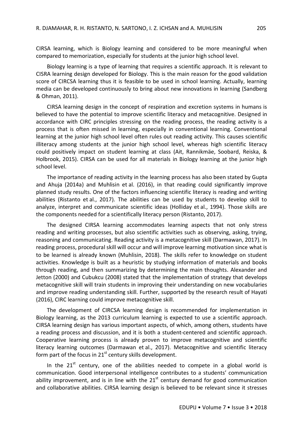CIRSA learning, which is Biology learning and considered to be more meaningful when compared to memorization, especially for students at the junior high school level.

Biology learning is a type of learning that requires a scientific approach. It is relevant to CISRA learning design developed for Biology. This is the main reason for the good validation score of CIRCSA learning thus it is feasible to be used in school learning. Actually, learning media can be developed continuously to bring about new innovations in learning (Sandberg & Ohman, 2011).

CIRSA learning design in the concept of respiration and excretion systems in humans is believed to have the potential to improve scientific literacy and metacognitive. Designed in accordance with CIRC principles stressing on the reading process, the reading activity is a process that is often missed in learning, especially in conventional learning. Conventional learning at the junior high school level often rules out reading activity. This causes scientific illiteracy among students at the junior high school level, whereas high scientific literacy could positively impact on student learning at class (Ait, Rannikmäe, Soobard, Reiska, & Holbrook, 2015). CIRSA can be used for all materials in Biology learning at the junior high school level.

The importance of reading activity in the learning process has also been stated by Gupta and Ahuja (2014a) and Muhlisin et al. (2016), in that reading could significantly improve planned study results. One of the factors influencing scientific literacy is reading and writing abilities (Ristanto et al., 2017). The abilities can be used by students to develop skill to analyze, interpret and communicate scientific ideas (Holliday et al., 1994). Those skills are the components needed for a scientifically literacy person (Ristanto, 2017).

The designed CIRSA learning accommodates learning aspects that not only stress reading and writing processes, but also scientific activities such as observing, asking, trying, reasoning and communicating. Reading activity is a metacognitive skill (Darmawan, 2017). In reading process, procedural skill will occur and will improve learning motivation since what is to be learned is already known (Muhlisin, 2018). The skills refer to knowledge on student activities. Knowledge is built as a heuristic by studying information of materials and books through reading, and then summarizing by determining the main thoughts. Alexander and Jetton (2000) and Cubukcu (2008) stated that the implementation of strategy that develops metacognitive skill will train students in improving their understanding on new vocabularies and improve reading understanding skill. Further, supported by the research result of Hayati (2016), CIRC learning could improve metacognitive skill.

The development of CIRCSA learning design is recommended for implementation in Biology learning, as the 2013 curriculum learning is expected to use a scientific approach. CIRSA learning design has various important aspects, of which, among others, students have a reading process and discussion, and it is both a student-centered and scientific approach. Cooperative learning process is already proven to improve metacognitive and scientific literacy learning outcomes (Darmawan et al., 2017). Metacognitive and scientific literacy form part of the focus in  $21<sup>st</sup>$  century skills development.

In the  $21^{st}$  century, one of the abilities needed to compete in a global world is communication. Good interpersonal intelligence contributes to a students' communication ability improvement, and is in line with the  $21<sup>st</sup>$  century demand for good communication and collaborative abilities. CIRSA learning design is believed to be relevant since it stresses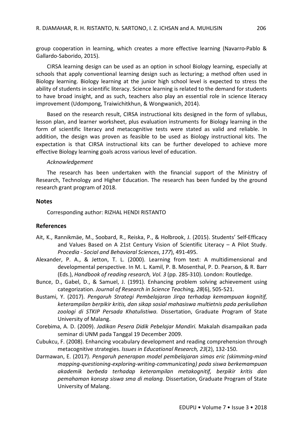group cooperation in learning, which creates a more effective learning (Navarro-Pablo & Gallardo-Saborido, 2015).

CIRSA learning design can be used as an option in school Biology learning, especially at schools that apply conventional learning design such as lecturing; a method often used in Biology learning. Biology learning at the junior high school level is expected to stress the ability of students in scientific literacy. Science learning is related to the demand for students to have broad insight, and as such, teachers also play an essential role in science literacy improvement (Udompong, Traiwichitkhun, & Wongwanich, 2014).

Based on the research result, CIRSA instructional kits designed in the form of syllabus, lesson plan, and learner worksheet, plus evaluation instruments for Biology learning in the form of scientific literacy and metacognitive tests were stated as valid and reliable. In addition, the design was proven as feasible to be used as Biology instructional kits. The expectation is that CIRSA instructional kits can be further developed to achieve more effective Biology learning goals across various level of education.

#### *Acknowledgement*

The research has been undertaken with the financial support of the Ministry of Research, Technology and Higher Education. The research has been funded by the ground research grant program of 2018.

#### **Notes**

Corresponding author: RIZHAL HENDI RISTANTO

#### **References**

- Ait, K., Rannikmäe, M., Soobard, R., Reiska, P., & Holbrook, J. (2015). Students' Self-Efficacy and Values Based on A 21st Century Vision of Scientific Literacy – A Pilot Study. *Procedia - Social and Behavioral Sciences*, *177*), 491-495.
- Alexander, P. A., & Jetton, T. L. (2000). Learning from text: A multidimensional and developmental perspective. In M. L. Kamil, P. B. Mosenthal, P. D. Pearson, & R. Barr (Eds.), *Handbook of reading research, Vol. 3* (pp. 285-310). London: Routledge.
- Bunce, D., Gabel, D., & Samuel, J. (1991). Enhancing problem solving achievement using categorization. *Journal of Research in Science Teaching, 28*(6), 505-521.
- Bustami, Y. (2017). *Pengaruh Strategi Pembelajaran Jirqa terhadap kemampuan kognitif, keterampilan berpikir kritis, dan sikap sosial mahasiswa multietnis pada perkuliahan zoologi di STKIP Persada Khatulistiwa.* Dissertation, Graduate Program of State University of Malang.
- Corebima, A. D. (2009). *Jadikan Pesera Didik Pebelajar Mandiri.* Makalah disampaikan pada seminar di UNM pada Tanggal 19 December 2009.
- Cubukcu, F. (2008). Enhancing vocabulary development and reading comprehension through metacognitive strategies. *Issues in Educational Research, 23*(2), 132-150.
- Darmawan, E. (2017). *Pengaruh penerapan model pembelajaran simas eric (skimming-mind mapping-questioning-exploring-writing-communicating) pada siswa berkemampuan akademik berbeda terhadap keterampilan metakognitif, berpikir kritis dan pemahaman konsep siswa sma di malang*. Dissertation, Graduate Program of State University of Malang.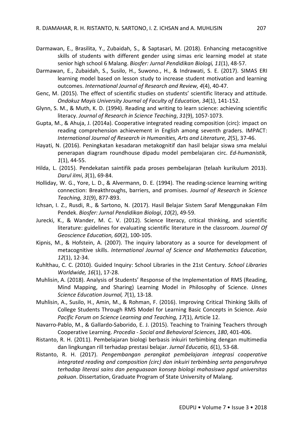- Darmawan, E., Brasilita, Y., Zubaidah, S., & Saptasari, M. (2018). Enhancing metacognitive skills of students with different gender using simas eric learning model at state senior high school 6 Malang. *Biosfer: Jurnal Pendidikan Biologi, 11*(1), 48-57.
- Darmawan, E., Zubaidah, S., Susilo, H., Suwono., H., & Indrawati, S. E. (2017). SIMAS ERI learning model based on lesson study to increase student motivation and learning outcomes. *International Journal of Research and Review, 4*(4), 40-47.
- Genc, M. (2015). The effect of scientific studies on students' scientific literacy and attitude. *Ondokuz Mayis University Journal of Faculty of Education, 34*(1), 141-152.
- Glynn, S. M., & Muth, K. D. (1994). Reading and writing to learn science: achieving scientific literacy. *Journal of Research in Science Teaching*, *31*(9), 1057-1073.
- Gupta, M., & Ahuja, J. (2014a). Cooperative integrated reading composition (circ): impact on reading comprehension achievement in English among seventh graders. IMPACT: *International Journal of Research in Humanities, Arts and Literature, 2*(5), 37-46.
- Hayati, N. (2016). Peningkatan kesadaran metakognitif dan hasil belajar siswa sma melalui penerapan diagram roundhouse dipadu model pembelajaran circ. *Ed-humanistik, 1*(1), 44-55.
- Hilda, L. (2015). Pendekatan saintifik pada proses pembelajaran (telaah kurikulum 2013). *Darul iImi*, *3*(1), 69-84.
- Holliday, W. G., Yore, L. D., & Alvermann, D. E. (1994). The reading-science learning writing connection: Breakthroughs, barriers, and promises. *Journal of Research in Science Teaching, 31*(9), 877-893.
- Ichsan, I. Z., Rusdi, R., & Sartono, N. (2017). Hasil Belajar Sistem Saraf Menggunakan Film Pendek. *Biosfer: Jurnal Pendidikan Biologi*, *10*(2), 49-59.
- Jurecki, K., & Wander, M. C. V. (2012). Science literacy, critical thinking, and scientific literature: guidelines for evaluating scientific literature in the classroom. *Journal Of Geoscience Education, 60*(2), 100-105.
- Kipnis, M., & Hofstein, A. (2007). The inquiry laboratory as a source for development of metacognitive skills. *International Journal of Science and Mathematics Education, 12*(1), 12-34.
- Kuhlthau, C. C. (2010). Guided Inquiry: School Libraries in the 21st Century. *School Libraries Worldwide, 16*(1), 17-28.
- Muhlisin, A. (2018). Analysis of Students' Response of the Implementation of RMS (Reading, Mind Mapping, and Sharing) Learning Model in Philosophy of Science. *Unnes Science Education Journal, 7*(1), 13-18.
- Muhlisin, A., Susilo, H., Amin, M., & Rohman, F. (2016). Improving Critical Thinking Skills of College Students Through RMS Model for Learning Basic Concepts in Science. *Asia Pacific Forum on Science Learning and Teaching, 17*(1), Article 12.
- Navarro-Pablo, M., & Gallardo-Saborido, E. J. (2015). Teaching to Training Teachers through Cooperative Learning. *Procedia - Social and Behavioral Sciences*, *180*, 401-406.
- Ristanto, R. H. (2011). Pembelajaran biologi berbasis inkuiri terbimbing dengan multimedia dan lingkungan rill terhadap prestasi belajar. *Jurnal Educatio, 6*(1), 53-68.
- Ristanto, R. H. (2017). *Pengembangan perangkat pembelajaran integrasi cooperative integrated reading and composition (circ) dan inkuiri terbimbing serta pengaruhnya terhadap literasi sains dan penguasaan konsep biologi mahasiswa pgsd universitas pakuan*. Dissertation, Graduate Program of State University of Malang.